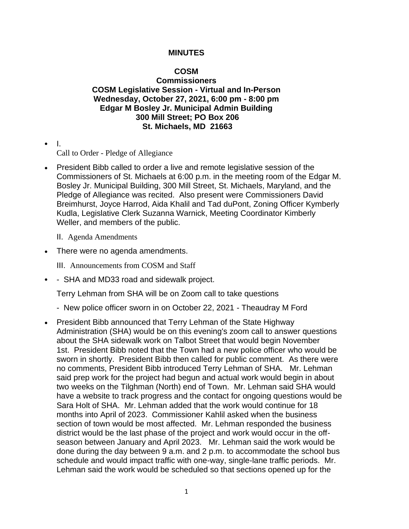## **MINUTES**

## **COSM**

**Commissioners COSM Legislative Session - Virtual and In-Person Wednesday, October 27, 2021, 6:00 pm - 8:00 pm Edgar M Bosley Jr. Municipal Admin Building 300 Mill Street; PO Box 206 St. Michaels, MD 21663**

• I.

Call to Order - Pledge of Allegiance

- President Bibb called to order a live and remote legislative session of the Commissioners of St. Michaels at 6:00 p.m. in the meeting room of the Edgar M. Bosley Jr. Municipal Building, 300 Mill Street, St. Michaels, Maryland, and the Pledge of Allegiance was recited. Also present were Commissioners David Breimhurst, Joyce Harrod, Aida Khalil and Tad duPont, Zoning Officer Kymberly Kudla, Legislative Clerk Suzanna Warnick, Meeting Coordinator Kimberly Weller, and members of the public.
	- II. Agenda Amendments
- There were no agenda amendments.

III. Announcements from COSM and Staff

• - SHA and MD33 road and sidewalk project.

Terry Lehman from SHA will be on Zoom call to take questions

- New police officer sworn in on October 22, 2021 Theaudray M Ford
- President Bibb announced that Terry Lehman of the State Highway Administration (SHA) would be on this evening's zoom call to answer questions about the SHA sidewalk work on Talbot Street that would begin November 1st. President Bibb noted that the Town had a new police officer who would be sworn in shortly. President Bibb then called for public comment. As there were no comments, President Bibb introduced Terry Lehman of SHA. Mr. Lehman said prep work for the project had begun and actual work would begin in about two weeks on the Tilghman (North) end of Town. Mr. Lehman said SHA would have a website to track progress and the contact for ongoing questions would be Sara Holt of SHA. Mr. Lehman added that the work would continue for 18 months into April of 2023. Commissioner Kahlil asked when the business section of town would be most affected. Mr. Lehman responded the business district would be the last phase of the project and work would occur in the offseason between January and April 2023. Mr. Lehman said the work would be done during the day between 9 a.m. and 2 p.m. to accommodate the school bus schedule and would impact traffic with one-way, single-lane traffic periods. Mr. Lehman said the work would be scheduled so that sections opened up for the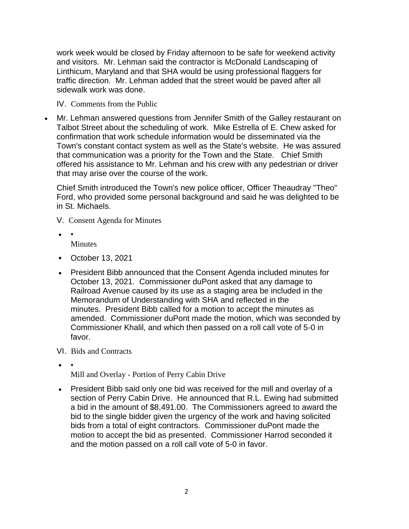work week would be closed by Friday afternoon to be safe for weekend activity and visitors. Mr. Lehman said the contractor is McDonald Landscaping of Linthicum, Maryland and that SHA would be using professional flaggers for traffic direction. Mr. Lehman added that the street would be paved after all sidewalk work was done.

IV. Comments from the Public

• Mr. Lehman answered questions from Jennifer Smith of the Galley restaurant on Talbot Street about the scheduling of work. Mike Estrella of E. Chew asked for confirmation that work schedule information would be disseminated via the Town's constant contact system as well as the State's website. He was assured that communication was a priority for the Town and the State. Chief Smith offered his assistance to Mr. Lehman and his crew with any pedestrian or driver that may arise over the course of the work.

Chief Smith introduced the Town's new police officer, Officer Theaudray "Theo" Ford, who provided some personal background and said he was delighted to be in St. Michaels.

- V. Consent Agenda for Minutes
- • **Minutes**
- October 13, 2021
- President Bibb announced that the Consent Agenda included minutes for October 13, 2021. Commissioner duPont asked that any damage to Railroad Avenue caused by its use as a staging area be included in the Memorandum of Understanding with SHA and reflected in the minutes. President Bibb called for a motion to accept the minutes as amended. Commissioner duPont made the motion, which was seconded by Commissioner Khalil, and which then passed on a roll call vote of 5-0 in favor.
- VI. Bids and Contracts
- •

Mill and Overlay - Portion of Perry Cabin Drive

• President Bibb said only one bid was received for the mill and overlay of a section of Perry Cabin Drive. He announced that R.L. Ewing had submitted a bid in the amount of \$8,491.00. The Commissioners agreed to award the bid to the single bidder given the urgency of the work and having solicited bids from a total of eight contractors. Commissioner duPont made the motion to accept the bid as presented. Commissioner Harrod seconded it and the motion passed on a roll call vote of 5-0 in favor.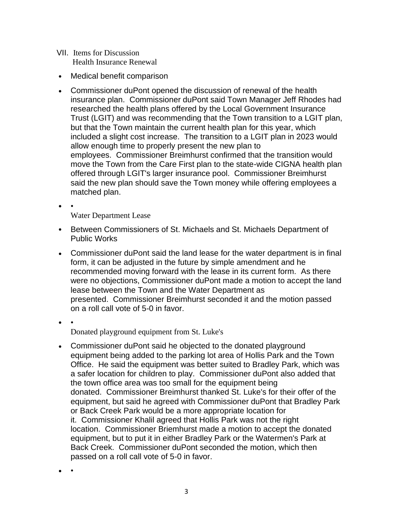- VII. Items for Discussion Health Insurance Renewal
- Medical benefit comparison
- Commissioner duPont opened the discussion of renewal of the health insurance plan. Commissioner duPont said Town Manager Jeff Rhodes had researched the health plans offered by the Local Government Insurance Trust (LGIT) and was recommending that the Town transition to a LGIT plan, but that the Town maintain the current health plan for this year, which included a slight cost increase. The transition to a LGIT plan in 2023 would allow enough time to properly present the new plan to employees. Commissioner Breimhurst confirmed that the transition would move the Town from the Care First plan to the state-wide CIGNA health plan offered through LGIT's larger insurance pool. Commissioner Breimhurst said the new plan should save the Town money while offering employees a matched plan.
- •

Water Department Lease

- Between Commissioners of St. Michaels and St. Michaels Department of Public Works
- Commissioner duPont said the land lease for the water department is in final form, it can be adjusted in the future by simple amendment and he recommended moving forward with the lease in its current form. As there were no objections, Commissioner duPont made a motion to accept the land lease between the Town and the Water Department as presented. Commissioner Breimhurst seconded it and the motion passed on a roll call vote of 5-0 in favor.
- • Donated playground equipment from St. Luke's
- Commissioner duPont said he objected to the donated playground equipment being added to the parking lot area of Hollis Park and the Town Office. He said the equipment was better suited to Bradley Park, which was a safer location for children to play. Commissioner duPont also added that the town office area was too small for the equipment being donated. Commissioner Breimhurst thanked St. Luke's for their offer of the equipment, but said he agreed with Commissioner duPont that Bradley Park or Back Creek Park would be a more appropriate location for it. Commissioner Khalil agreed that Hollis Park was not the right location. Commissioner Briemhurst made a motion to accept the donated equipment, but to put it in either Bradley Park or the Watermen's Park at Back Creek. Commissioner duPont seconded the motion, which then passed on a roll call vote of 5-0 in favor.

• •